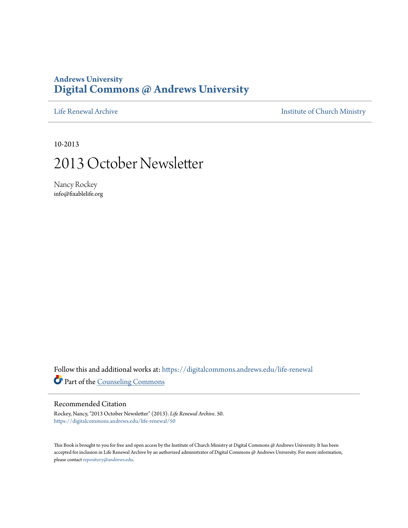## **Andrews University [Digital Commons @ Andrews University](https://digitalcommons.andrews.edu/?utm_source=digitalcommons.andrews.edu%2Flife-renewal%2F50&utm_medium=PDF&utm_campaign=PDFCoverPages)**

[Life Renewal Archive](https://digitalcommons.andrews.edu/life-renewal?utm_source=digitalcommons.andrews.edu%2Flife-renewal%2F50&utm_medium=PDF&utm_campaign=PDFCoverPages) **[Institute of Church Ministry](https://digitalcommons.andrews.edu/icm?utm_source=digitalcommons.andrews.edu%2Flife-renewal%2F50&utm_medium=PDF&utm_campaign=PDFCoverPages)** 

10-2013

## 2013 October Newsletter

Nancy Rockey info@fixablelife.org

Follow this and additional works at: [https://digitalcommons.andrews.edu/life-renewal](https://digitalcommons.andrews.edu/life-renewal?utm_source=digitalcommons.andrews.edu%2Flife-renewal%2F50&utm_medium=PDF&utm_campaign=PDFCoverPages) Part of the [Counseling Commons](http://network.bepress.com/hgg/discipline/1268?utm_source=digitalcommons.andrews.edu%2Flife-renewal%2F50&utm_medium=PDF&utm_campaign=PDFCoverPages)

#### Recommended Citation

Rockey, Nancy, "2013 October Newsletter" (2013). *Life Renewal Archive*. 50. [https://digitalcommons.andrews.edu/life-renewal/50](https://digitalcommons.andrews.edu/life-renewal/50?utm_source=digitalcommons.andrews.edu%2Flife-renewal%2F50&utm_medium=PDF&utm_campaign=PDFCoverPages)

This Book is brought to you for free and open access by the Institute of Church Ministry at Digital Commons @ Andrews University. It has been accepted for inclusion in Life Renewal Archive by an authorized administrator of Digital Commons @ Andrews University. For more information, please contact [repository@andrews.edu.](mailto:repository@andrews.edu)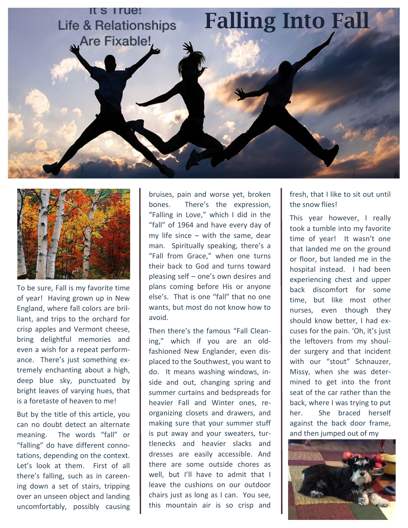



To be sure, Fall is my favorite time of year! Having grown up in New England, where fall colors are brilliant, and trips to the orchard for crisp apples and Vermont cheese, bring delightful memories and even a wish for a repeat performance. There's just something extremely enchanting about a high, deep blue sky, punctuated by bright leaves of varying hues, that is a foretaste of heaven to me!

But by the title of this article, you can no doubt detect an alternate meaning. The words "fall" or "falling" do have different connotations, depending on the context. Let's look at them. First of all there's falling, such as in careening down a set of stairs, tripping over an unseen object and landing uncomfortably, possibly causing

bruises, pain and worse yet, broken bones. There's the expression, "Falling in Love," which I did in the "fall" of 1964 and have every day of my life since – with the same, dear man. Spiritually speaking, there's a "Fall from Grace," when one turns their back to God and turns toward pleasing self – one's own desires and plans coming before His or anyone else's. That is one "fall" that no one wants, but most do not know how to avoid.

Then there's the famous "Fall Cleaning," which if you are an oldfashioned New Englander, even displaced to the Southwest, you want to do. It means washing windows, inside and out, changing spring and summer curtains and bedspreads for heavier Fall and Winter ones, reorganizing closets and drawers, and making sure that your summer stuff is put away and your sweaters, turtlenecks and heavier slacks and dresses are easily accessible. And there are some outside chores as well, but I'll have to admit that I leave the cushions on our outdoor chairs just as long as I can. You see, this mountain air is so crisp and

fresh, that I like to sit out until the snow flies!

This year however, I really took a tumble into my favorite time of year! It wasn't one that landed me on the ground or floor, but landed me in the hospital instead. I had been experiencing chest and upper back discomfort for some time, but like most other nurses, even though they should know better, I had excuses for the pain. 'Oh, it's just the leftovers from my shoulder surgery and that incident with our "stout" Schnauzer, Missy, when she was determined to get into the front seat of the car rather than the back, where I was trying to put her. She braced herself against the back door frame, and then jumped out of my

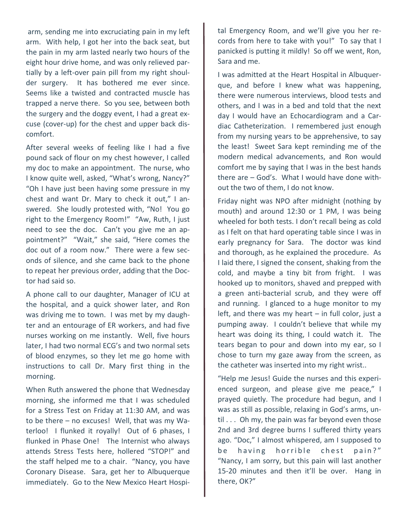arm, sending me into excruciating pain in my left arm. With help, I got her into the back seat, but the pain in my arm lasted nearly two hours of the eight hour drive home, and was only relieved partially by a left-over pain pill from my right shoulder surgery. It has bothered me ever since. Seems like a twisted and contracted muscle has trapped a nerve there. So you see, between both the surgery and the doggy event, I had a great excuse (cover-up) for the chest and upper back discomfort.

After several weeks of feeling like I had a five pound sack of flour on my chest however, I called my doc to make an appointment. The nurse, who I know quite well, asked, "What's wrong, Nancy?" "Oh I have just been having some pressure in my chest and want Dr. Mary to check it out," I answered. She loudly protested with, "No! You go right to the Emergency Room!" "Aw, Ruth, I just need to see the doc. Can't you give me an appointment?" "Wait," she said, "Here comes the doc out of a room now." There were a few seconds of silence, and she came back to the phone to repeat her previous order, adding that the Doctor had said so.

A phone call to our daughter, Manager of ICU at the hospital, and a quick shower later, and Ron was driving me to town. I was met by my daughter and an entourage of ER workers, and had five nurses working on me instantly. Well, five hours later, I had two normal ECG's and two normal sets of blood enzymes, so they let me go home with instructions to call Dr. Mary first thing in the morning.

When Ruth answered the phone that Wednesday morning, she informed me that I was scheduled for a Stress Test on Friday at 11:30 AM, and was to be there – no excuses! Well, that was my Waterloo! I flunked it royally! Out of 6 phases, I flunked in Phase One! The Internist who always attends Stress Tests here, hollered "STOP!" and the staff helped me to a chair. "Nancy, you have Coronary Disease. Sara, get her to Albuquerque immediately. Go to the New Mexico Heart Hospital Emergency Room, and we'll give you her records from here to take with you!" To say that I panicked is putting it mildly! So off we went, Ron, Sara and me.

I was admitted at the Heart Hospital in Albuquerque, and before I knew what was happening, there were numerous interviews, blood tests and others, and I was in a bed and told that the next day I would have an Echocardiogram and a Cardiac Catheterization. I remembered just enough from my nursing years to be apprehensive, to say the least! Sweet Sara kept reminding me of the modern medical advancements, and Ron would comfort me by saying that I was in the best hands there are – God's. What I would have done without the two of them, I do not know.

Friday night was NPO after midnight (nothing by mouth) and around 12:30 or 1 PM, I was being wheeled for both tests. I don't recall being as cold as I felt on that hard operating table since I was in early pregnancy for Sara. The doctor was kind and thorough, as he explained the procedure. As I laid there, I signed the consent, shaking from the cold, and maybe a tiny bit from fright. I was hooked up to monitors, shaved and prepped with a green anti-bacterial scrub, and they were off and running. I glanced to a huge monitor to my left, and there was my heart  $-$  in full color, just a pumping away. I couldn't believe that while my heart was doing its thing, I could watch it. The tears began to pour and down into my ear, so I chose to turn my gaze away from the screen, as the catheter was inserted into my right wrist..

"Help me Jesus! Guide the nurses and this experienced surgeon, and please give me peace," I prayed quietly. The procedure had begun, and I was as still as possible, relaxing in God's arms, un $til...$  Oh my, the pain was far beyond even those 2nd and 3rd degree burns I suffered thirty years ago. "Doc," I almost whispered, am I supposed to be having horrible chest pain?" "Nancy, I am sorry, but this pain will last another 15-20 minutes and then it'll be over. Hang in there, OK?"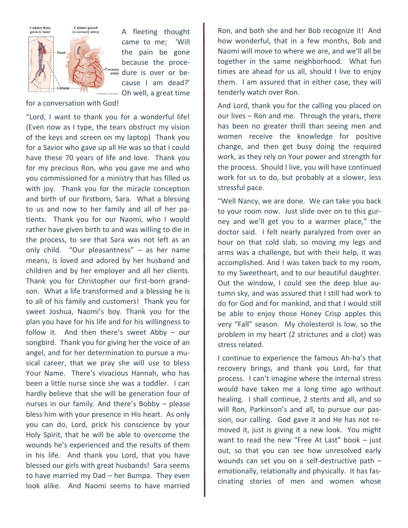

A fleeting thought came to me; 'Will the pain be gone because the proceoronary dure is over or because I am dead?' Oh well, a great time

for a conversation with God!

"Lord, I want to thank you for a wonderful life! (Even now as I type, the tears obstruct my vision of the keys and screen on my laptop) Thank you for a Savior who gave up all He was so that I could have these 70 years of life and love. Thank you for my precious Ron, who you gave me and who you commissioned for a ministry that has filled us with joy. Thank you for the miracle conception and birth of our firstborn, Sara. What a blessing to us and now to her family and all of her patients. Thank you for our Naomi, who I would rather have given birth to and was willing to die in the process, to see that Sara was not left as an only child. "Our pleasantness" – as her name means, is loved and adored by her husband and children and by her employer and all her clients. Thank you for Christopher our first-born grandson. What a life transformed and a blessing he is to all of his family and customers! Thank you for sweet Joshua, Naomi's boy. Thank you for the plan you have for his life and for his willingness to follow it. And then there's sweet Abby – our songbird. Thank you for giving her the voice of an angel, and for her determination to pursue a musical career, that we pray she will use to bless Your Name. There's vivacious Hannah, who has been a little nurse since she was a toddler. I can hardly believe that she will be generation four of nurses in our family. And there's Bobby – please bless him with your presence in His heart. As only you can do, Lord, prick his conscience by your Holy Spirit, that he will be able to overcome the wounds he's experienced and the results of them in his life. And thank you Lord, that you have blessed our girls with great husbands! Sara seems to have married my Dad – her Bumpa. They even look alike. And Naomi seems to have married

Ron, and both she and her Bob recognize it! And how wonderful, that in a few months, Bob and Naomi will move to where we are, and we'll all be together in the same neighborhood. What fun times are ahead for us all, should I live to enjoy them. I am assured that in either case, they will tenderly watch over Ron.

And Lord, thank you for the calling you placed on our lives – Ron and me. Through the years, there has been no greater thrill than seeing men and women receive the knowledge for positive change, and then get busy doing the required work, as they rely on Your power and strength for the process. Should I live, you will have continued work for us to do, but probably at a slower, less stressful pace.

"Well Nancy, we are done. We can take you back to your room now. Just slide over on to this gurney and we'll get you to a warmer place," the doctor said. I felt nearly paralyzed from over an hour on that cold slab, so moving my legs and arms was a challenge, but with their help, it was accomplished. And I was taken back to my room, to my Sweetheart, and to our beautiful daughter. Out the window, I could see the deep blue autumn sky, and was assured that I still had work to do for God and for mankind, and that I would still be able to enjoy those Honey Crisp apples this very "Fall" season. My cholesterol is low, so the problem in my heart (2 strictures and a clot) was stress related.

I continue to experience the famous Ah-ha's that recovery brings, and thank you Lord, for that process. I can't imagine where the internal stress would have taken me a long time ago without healing. I shall continue, 2 stents and all, and so will Ron, Parkinson's and all, to pursue our passion, our calling. God gave it and He has not removed it, just is giving it a new look. You might want to read the new "Free At Last" book – just out, so that you can see how unresolved early wounds can set you on a self-destructive path – emotionally, relationally and physically. It has fascinating stories of men and women whose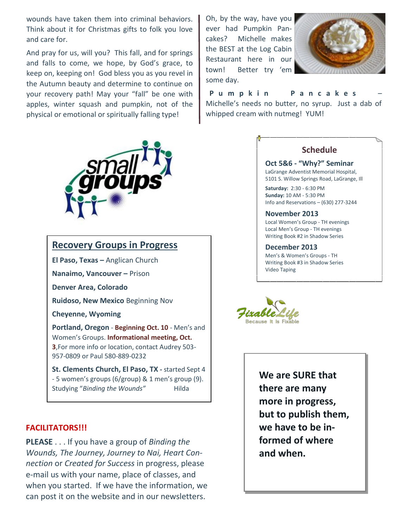wounds have taken them into criminal behaviors. Think about it for Christmas gifts to folk you love and care for.

And pray for us, will you? This fall, and for springs and falls to come, we hope, by God's grace, to keep on, keeping on! God bless you as you revel in the Autumn beauty and determine to continue on your recovery path! May your "fall" be one with apples, winter squash and pumpkin, not of the physical or emotional or spiritually falling type!



### **Recovery Groups in Progress**

**El Paso, Texas –** Anglican Church

**Nanaimo, Vancouver –** Prison

**Denver Area, Colorado**

**Ruidoso, New Mexico** Beginning Nov

**Cheyenne, Wyoming**

**Portland, Oregon** - **Beginning Oct. 10** - Men's and Women's Groups. **Informational meeting, Oct. 3**,For more info or location, contact Audrey 503- 957-0809 or Paul 580-889-0232

**St. Clements Church, El Paso, TX -** started Sept 4 - 5 women's groups (6/group) & 1 men's group (9). Studying "Binding the Wounds" Hilda

#### **FACILITATORS!!!**

**PLEASE** . . . If you have a group of *Binding the Wounds, The Journey, Journey to Nai, Heart Connection* or *Created for Success* in progress, please e-mail us with your name, place of classes, and when you started. If we have the information, we can post it on the website and in our newsletters.

Oh, by the way, have you ever had Pumpkin Pancakes? Michelle makes the BEST at the Log Cabin Restaurant here in our town! Better try 'em some day.



 **Pumpkin Pancakes** – Michelle's needs no butter, no syrup. Just a dab of whipped cream with nutmeg! YUM!

#### **Schedule**

**Oct 5&6 - "Why?" Seminar** LaGrange Adventist Memorial Hospital, 5101 S. Willow Springs Road, LaGrange, Ill

**Saturday:** 2:30 - 6:30 PM **Sunday:** 10 AM - 5:30 PM Info and Reservations – (630) 277-3244

#### **November 2013**

Local Women's Group - TH evenings Local Men's Group - TH evenings Writing Book #2 in Shadow Series

#### **December 2013**

Men's & Women's Groups - TH Writing Book #3 in Shadow Series Video Taping

**Because It Is Fixable** 

**We are SURE that there are many more in progress, but to publish them, we have to be informed of where and when.**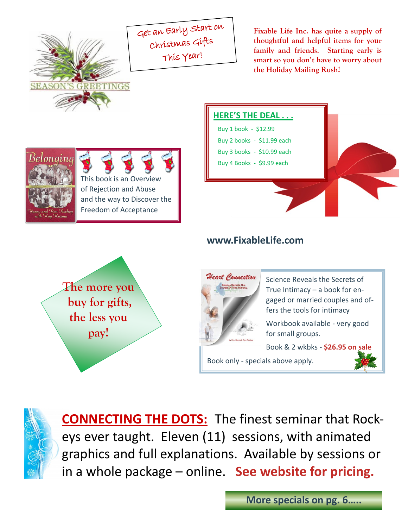

Get an Early Start on Christmas Gifts This Year!

**Fixable Life Inc. has quite a supply of thoughtful and helpful items for your family and friends. Starting early is smart so you don't have to worry about the Holiday Mailing Rush!** 





## **www.FixableLife.com**





Science Reveals the Secrets of True Intimacy – a book for engaged or married couples and offers the tools for intimacy

Workbook available - very good for small groups.

Book & 2 wkbks - **\$26.95 on sale**

Book only - specials above apply.





**CONNECTING THE DOTS:** The finest seminar that Rockeys ever taught. Eleven (11) sessions, with animated graphics and full explanations. Available by sessions or in a whole package – online. **See website for pricing.**

**More specials on pg. 6…..**